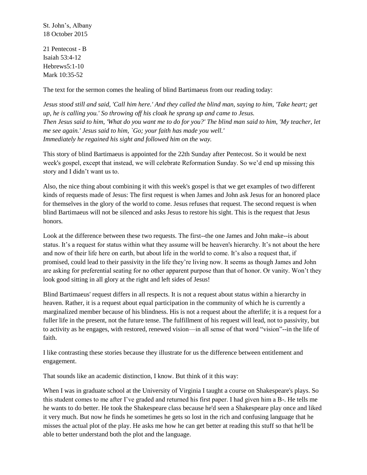St. John's, Albany 18 October 2015

21 Pentecost - B Isaiah 53:4-12 Hebrews5:1-10 Mark 10:35-52

The text for the sermon comes the healing of blind Bartimaeus from our reading today:

*Jesus stood still and said, 'Call him here.' And they called the blind man, saying to him, 'Take heart; get up, he is calling you.' So throwing off his cloak he sprang up and came to Jesus. Then Jesus said to him, 'What do you want me to do for you?' The blind man said to him, 'My teacher, let me see again.' Jesus said to him, `Go; your faith has made you well.' Immediately he regained his sight and followed him on the way.*

This story of blind Bartimaeus is appointed for the 22th Sunday after Pentecost. So it would be next week's gospel, except that instead, we will celebrate Reformation Sunday. So we'd end up missing this story and I didn't want us to.

Also, the nice thing about combining it with this week's gospel is that we get examples of two different kinds of requests made of Jesus: The first request is when James and John ask Jesus for an honored place for themselves in the glory of the world to come. Jesus refuses that request. The second request is when blind Bartimaeus will not be silenced and asks Jesus to restore his sight. This is the request that Jesus honors.

Look at the difference between these two requests. The first--the one James and John make--is about status. It's a request for status within what they assume will be heaven's hierarchy. It's not about the here and now of their life here on earth, but about life in the world to come. It's also a request that, if promised, could lead to their passivity in the life they're living now. It seems as though James and John are asking for preferential seating for no other apparent purpose than that of honor. Or vanity. Won't they look good sitting in all glory at the right and left sides of Jesus!

Blind Bartimaeus' request differs in all respects. It is not a request about status within a hierarchy in heaven. Rather, it is a request about equal participation in the community of which he is currently a marginalized member because of his blindness. His is not a request about the afterlife; it is a request for a fuller life in the present, not the future tense. The fulfillment of his request will lead, not to passivity, but to activity as he engages, with restored, renewed vision—in all sense of that word "vision"--in the life of faith.

I like contrasting these stories because they illustrate for us the difference between entitlement and engagement.

That sounds like an academic distinction, I know. But think of it this way:

When I was in graduate school at the University of Virginia I taught a course on Shakespeare's plays. So this student comes to me after I've graded and returned his first paper. I had given him a B-. He tells me he wants to do better. He took the Shakespeare class because he'd seen a Shakespeare play once and liked it very much. But now he finds he sometimes he gets so lost in the rich and confusing language that he misses the actual plot of the play. He asks me how he can get better at reading this stuff so that he'll be able to better understand both the plot and the language.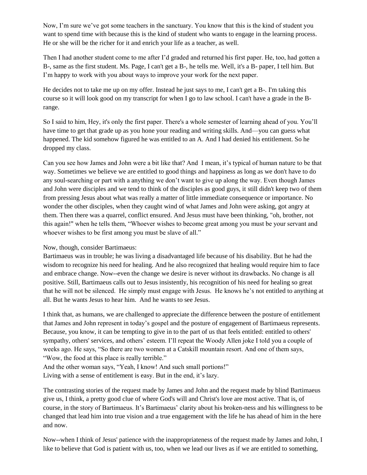Now, I'm sure we've got some teachers in the sanctuary. You know that this is the kind of student you want to spend time with because this is the kind of student who wants to engage in the learning process. He or she will be the richer for it and enrich your life as a teacher, as well.

Then I had another student come to me after I'd graded and returned his first paper. He, too, had gotten a B-, same as the first student. Ms. Page, I can't get a B-, he tells me. Well, it's a B- paper, I tell him. But I'm happy to work with you about ways to improve your work for the next paper.

He decides not to take me up on my offer. Instead he just says to me, I can't get a B-. I'm taking this course so it will look good on my transcript for when I go to law school. I can't have a grade in the Brange.

So I said to him, Hey, it's only the first paper. There's a whole semester of learning ahead of you. You'll have time to get that grade up as you hone your reading and writing skills. And—you can guess what happened. The kid somehow figured he was entitled to an A. And I had denied his entitlement. So he dropped my class.

Can you see how James and John were a bit like that? And I mean, it's typical of human nature to be that way. Sometimes we believe we are entitled to good things and happiness as long as we don't have to do any soul-searching or part with a anything we don't want to give up along the way. Even though James and John were disciples and we tend to think of the disciples as good guys, it still didn't keep two of them from pressing Jesus about what was really a matter of little immediate consequence or importance. No wonder the other disciples, when they caught wind of what James and John were asking, got angry at them. Then there was a quarrel, conflict ensured. And Jesus must have been thinking, "oh, brother, not this again!" when he tells them, "Whoever wishes to become great among you must be your servant and whoever wishes to be first among you must be slave of all."

Now, though, consider Bartimaeus:

Bartimaeus was in trouble; he was living a disadvantaged life because of his disability. But he had the wisdom to recognize his need for healing. And he also recognized that healing would require him to face and embrace change. Now--even the change we desire is never without its drawbacks. No change is all positive. Still, Bartimaeus calls out to Jesus insistently, his recognition of his need for healing so great that he will not be silenced. He simply must engage with Jesus. He knows he's not entitled to anything at all. But he wants Jesus to hear him. And he wants to see Jesus.

I think that, as humans, we are challenged to appreciate the difference between the posture of entitlement that James and John represent in today's gospel and the posture of engagement of Bartimaeus represents. Because, you know, it can be tempting to give in to the part of us that feels entitled: entitled to others' sympathy, others' services, and others' esteem. I'll repeat the Woody Allen joke I told you a couple of weeks ago. He says, "So there are two women at a Catskill mountain resort. And one of them says, "Wow, the food at this place is really terrible."

And the other woman says, "Yeah, I know! And such small portions!" Living with a sense of entitlement is easy. But in the end, it's lazy.

The contrasting stories of the request made by James and John and the request made by blind Bartimaeus give us, I think, a pretty good clue of where God's will and Christ's love are most active. That is, of course, in the story of Bartimaeus. It's Bartimaeus' clarity about his broken-ness and his willingness to be changed that lead him into true vision and a true engagement with the life he has ahead of him in the here and now.

Now--when I think of Jesus' patience with the inappropriateness of the request made by James and John, I like to believe that God is patient with us, too, when we lead our lives as if we are entitled to something,